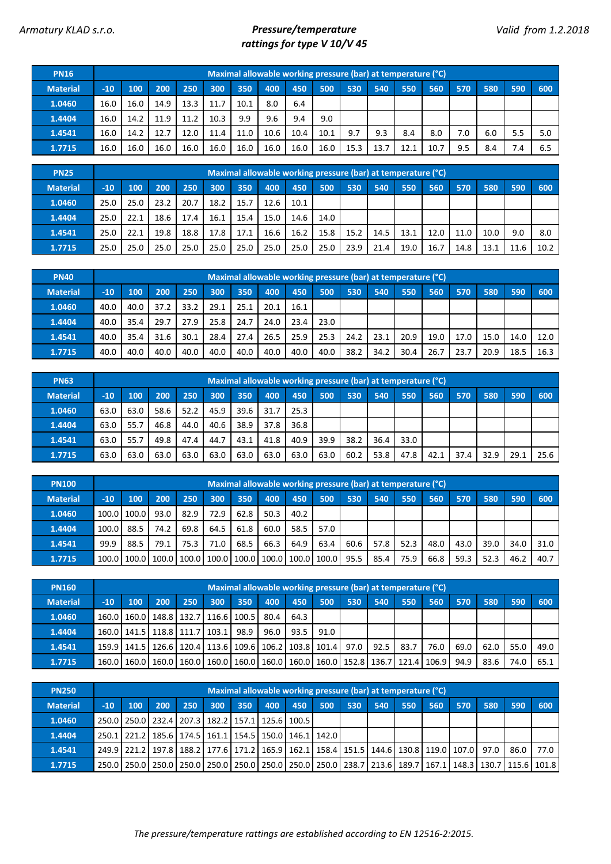## *Armatury KLAD s.r.o. Pressure/temperature rattings for type V 10/V 45*

| <b>PN16</b>     |       |      |      |      |      |      |      | Maximal allowable working pressure (bar) at temperature (°C) |      |      |      |      |      |     |     |     |     |
|-----------------|-------|------|------|------|------|------|------|--------------------------------------------------------------|------|------|------|------|------|-----|-----|-----|-----|
| <b>Material</b> | $-10$ | 100  | 200  | 250  | 300  | 350  | 400  | 450                                                          | 500  | 530  | 540  | 550  | 560  | 570 | 580 | 590 | 600 |
| 1.0460          | 16.0  | 16.0 | 14.9 | 13.3 | 11.7 | 10.1 | 8.0  | 6.4                                                          |      |      |      |      |      |     |     |     |     |
| 1.4404          | 16.0  | 14.2 | 11.9 | 11.2 | 10.3 | 9.9  | 9.6  | 9.4                                                          | 9.0  |      |      |      |      |     |     |     |     |
| 1.4541          | 16.0  | 14.2 | 12.7 | 12.0 | 11.4 | 11.0 | 10.6 | 10.4                                                         | 10.1 | 9.7  | 9.3  | 8.4  | 8.0  | 7.0 | 6.0 | 5.5 | 5.0 |
| 1.7715          | 16.0  | 16.0 | 16.0 | 16.0 | 16.0 | 16.0 | 16.0 | 16.0                                                         | 16.0 | 15.3 | 13.7 | 12.1 | 10.7 | 9.5 | 8.4 | 7.4 | 6.5 |

| <b>PN25</b>     |       |      |      |      |      |      |      |      |      |      | Maximal allowable working pressure (bar) at temperature (°C) |      |      |      |      |      |      |
|-----------------|-------|------|------|------|------|------|------|------|------|------|--------------------------------------------------------------|------|------|------|------|------|------|
| <b>Material</b> | $-10$ | 100  | 200  | 250  | 300  | 350  | 400  | 450  | 500  | 530  | 540                                                          | 550  | 560  | 570  | 580  | 590  | 600  |
| 1.0460          | 25.0  | 25.0 | 23.2 | 20.7 | 18.2 | 15.7 | 12.6 | 10.1 |      |      |                                                              |      |      |      |      |      |      |
| 1.4404          | 25.0  | 22.1 | 18.6 | 17.4 | 16.1 | 15.4 | 15.0 | 14.6 | 14.0 |      |                                                              |      |      |      |      |      |      |
| 1.4541          | 25.0  | 22.1 | 19.8 | 18.8 | 17.8 | 17.1 | 16.6 | 16.2 | 15.8 | 15.2 | 14.5                                                         | 13.1 | 12.0 | 11.0 | 10.0 | 9.0  | 8.0  |
| 1.7715          | 25.0  | 25.0 | 25.0 | 25.0 | 25.0 | 25.0 | 25.0 | 25.0 | 25.0 | 23.9 | 21.4                                                         | 19.0 | 16.7 | 14.8 | 13.1 | 11.6 | 10.2 |

| <b>PN40</b>     |       |      |      |      |      |      |      |      | Maximal allowable working pressure (bar) at temperature (°C) |      |      |      |      |      |      |      |      |
|-----------------|-------|------|------|------|------|------|------|------|--------------------------------------------------------------|------|------|------|------|------|------|------|------|
| <b>Material</b> | $-10$ | 100  | 200  | 250  | 300  | 350  | 400  | 450  | 500                                                          | 530  | 540  | 550  | 560  | 570  | 580  | 590  | 600  |
| 1.0460          | 40.0  | 40.0 | 37.2 | 33.2 | 29.1 | 25.1 | 20.1 | 16.1 |                                                              |      |      |      |      |      |      |      |      |
| 1.4404          | 40.0  | 35.4 | 29.7 | 27.9 | 25.8 | 24.7 | 24.0 | 23.4 | 23.0                                                         |      |      |      |      |      |      |      |      |
| 1.4541          | 40.0  | 35.4 | 31.6 | 30.1 | 28.4 | 27.4 | 26.5 | 25.9 | 25.3                                                         | 24.2 | 23.1 | 20.9 | 19.0 | 17.0 | 15.0 | 14.0 | 12.0 |
| 1.7715          | 40.0  | 40.0 | 40.0 | 40.0 | 40.0 | 40.0 | 40.0 | 40.0 | 40.0                                                         | 38.2 | 34.2 | 30.4 | 26.7 | 23.  | 20.9 | 18.5 | 16.3 |

| <b>PN63</b>     |       |      |      |      |      |      |      |      |      |      | Maximal allowable working pressure (bar) at temperature (°C) |      |      |      |      |      |      |
|-----------------|-------|------|------|------|------|------|------|------|------|------|--------------------------------------------------------------|------|------|------|------|------|------|
| <b>Material</b> | $-10$ | 100  | 200  | 250  | 300  | 350  | 400  | 450  | 500  | 530  | 540                                                          | 550  | 560  | 570  | 580  | 590  | 600  |
| 1.0460          | 63.0  | 63.0 | 58.6 | 52.2 | 45.9 | 39.6 | 31.7 | 25.3 |      |      |                                                              |      |      |      |      |      |      |
| 1.4404          | 63.0  | 55.7 | 46.8 | 44.0 | 40.6 | 38.9 | 37.8 | 36.8 |      |      |                                                              |      |      |      |      |      |      |
| 1.4541          | 63.0  | 55.7 | 49.8 | 47.4 | 44.7 | 43.1 | 41.8 | 40.9 | 39.9 | 38.2 | 36.4                                                         | 33.0 |      |      |      |      |      |
| 1.7715          | 63.0  | 63.0 | 63.0 | 63.0 | 63.0 | 63.0 | 63.0 | 63.0 | 63.0 | 60.2 | 53.8                                                         | 47.8 | 42.1 | 37.4 | 32.9 | 29.1 | 25.6 |

| <b>PN100</b>    |       |                               |      |      |      |      |      |      |                                       |      | Maximal allowable working pressure (bar) at temperature (°C) |      |      |      |      |      |      |
|-----------------|-------|-------------------------------|------|------|------|------|------|------|---------------------------------------|------|--------------------------------------------------------------|------|------|------|------|------|------|
| <b>Material</b> | $-10$ | 100                           | 200  | 250  | 300  | 350  | 400  | 450  | 500                                   | 530  | 540                                                          | 550  | 560  | 570  | 580  | 590  | 600  |
| 1.0460          | 100.0 | 100.0                         | 93.0 | 82.9 | 72.9 | 62.8 | 50.3 | 40.2 |                                       |      |                                                              |      |      |      |      |      |      |
| 1.4404          | 100.0 | 88.5                          | 74.2 | 69.8 | 64.5 | 61.8 | 60.0 | 58.5 | 57.0                                  |      |                                                              |      |      |      |      |      |      |
| 1.4541          | 99.9  | 88.5                          | 79.1 | 75.3 | 71.0 | 68.5 | 66.3 | 64.9 | 63.4                                  | 60.6 | 57.8                                                         | 52.3 | 48.0 | 43.0 | 39.0 | 34.0 | 31.0 |
| 1.7715          |       | 100.0   100.0   100.0   100.0 |      |      |      |      |      |      | 100.0   100.0   100.0   100.0   100.0 | 95.5 | 85.4                                                         | 75.9 | 66.8 | 59.3 | 52.3 | 46.2 | 40.7 |

| <b>PN160</b>    |       | Maximal allowable working pressure (bar) at temperature (°C)<br>350<br>200<br>250<br>300<br>400<br>450<br>500<br>530<br>560<br>600<br>100<br>540<br>550<br>570<br>580<br>590<br>160.0   160.0   148.8   132.7   116.6   100.5  <br>80.4<br>64.3 |  |  |                                                                                     |      |      |      |      |  |      |      |      |      |      |      |      |
|-----------------|-------|-------------------------------------------------------------------------------------------------------------------------------------------------------------------------------------------------------------------------------------------------|--|--|-------------------------------------------------------------------------------------|------|------|------|------|--|------|------|------|------|------|------|------|
| <b>Material</b> | $-10$ |                                                                                                                                                                                                                                                 |  |  |                                                                                     |      |      |      |      |  |      |      |      |      |      |      |      |
| 1.0460          |       |                                                                                                                                                                                                                                                 |  |  |                                                                                     |      |      |      |      |  |      |      |      |      |      |      |      |
| 1.4404          |       | 160.0   141.5   118.8   111.7   103.1                                                                                                                                                                                                           |  |  |                                                                                     | 98.9 | 96.0 | 93.5 | 91.0 |  |      |      |      |      |      |      |      |
| 1.4541          |       |                                                                                                                                                                                                                                                 |  |  | 159.9 141.5 126.6 120.4 113.6 109.6 106.2 103.8 101.4 97.0                          |      |      |      |      |  | 92.5 | 83.7 | 76.0 | 69.0 | 62.0 | 55.0 | 49.0 |
| 1.7715          |       |                                                                                                                                                                                                                                                 |  |  | 160.0 160.0 160.0 160.0 160.0 160.0 160.0 160.0 160.0 160.0 152.8 136.7 121.4 106.9 |      |      |      |      |  |      |      |      | 94.9 | 83.6 | 74.C | 65.1 |

| <b>PN250</b>    |       |                                                                       |     |     |     |     |     |     |     |     | Maximal allowable working pressure (bar) at temperature (°C)                                                |     |      |     |     |     |      |
|-----------------|-------|-----------------------------------------------------------------------|-----|-----|-----|-----|-----|-----|-----|-----|-------------------------------------------------------------------------------------------------------------|-----|------|-----|-----|-----|------|
| <b>Material</b> | $-10$ | <b>100</b>                                                            | 200 | 250 | 300 | 350 | 400 | 450 | 500 | 530 | 540                                                                                                         | 550 | 1560 | 570 | 580 | 590 | 600  |
| 1.0460          |       | 250.0   250.0   232.4   207.3   182.2   157.1   125.6   100.5         |     |     |     |     |     |     |     |     |                                                                                                             |     |      |     |     |     |      |
| 1.4404          |       | 250.1   221.2   185.6   174.5   161.1   154.5   150.0   146.1   142.0 |     |     |     |     |     |     |     |     |                                                                                                             |     |      |     |     |     |      |
| 1.4541          |       |                                                                       |     |     |     |     |     |     |     |     | 249.9 221.2 197.8 188.2 177.6 171.2 165.9 162.1 158.4 151.5 144.6 130.8 119.0 107.0   97.0   86.0           |     |      |     |     |     | 77.0 |
| 1.7715          |       |                                                                       |     |     |     |     |     |     |     |     | 250.0 250.0 250.0 250.0 250.0 250.0 250.0 250.0 250.0 250.0 238.7 213.6 189.7 167.1 148.3 130.7 115.6 101.8 |     |      |     |     |     |      |